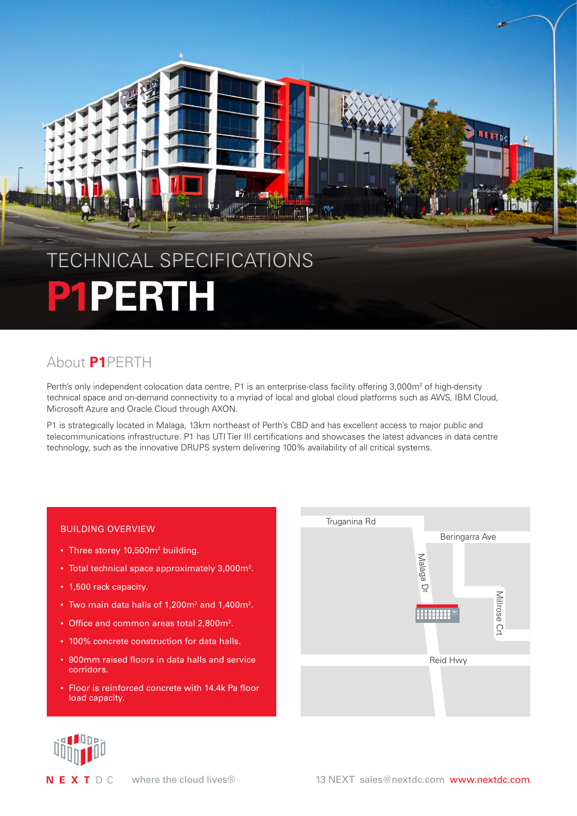

# About **P1**PERTH

Perth's only independent colocation data centre, P1 is an enterprise-class facility offering 3,000m<sup>2</sup> of high-density technical space and on-demand connectivity to a myriad of local and global cloud platforms such as AWS, IBM Cloud, Microsoft Azure and Oracle Cloud through AXON.

P1 is strategically located in Malaga, 13km northeast of Perth's CBD and has excellent access to major public and telecommunications infrastructure. P1 has UTI Tier III certifications and showcases the latest advances in data centre technology, such as the innovative DRUPS system delivering 100% availability of all critical systems.

## BUILDING OVERVIEW

- Three storey 10,500m<sup>2</sup> building.
- $\bullet$  Total technical space approximately 3,000 $\mathsf{m}^2$ .
- 1,500 rack capacity.
- $\bullet$  Two main data halls of 1,200m<sup>2</sup> and 1,400m<sup>2</sup>.
- Office and common areas total 2,800m<sup>2</sup>.
- 100% concrete construction for data halls.
- 900mm raised floors in data halls and service corridors.
- Floor is reinforced concrete with 14.4k Pa floor load capacity.





NEXTDC